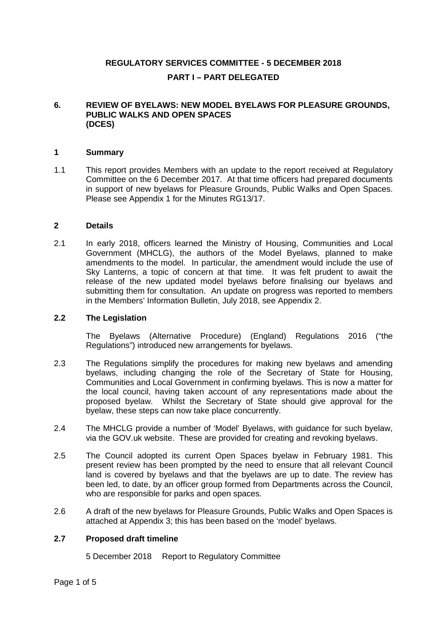# **REGULATORY SERVICES COMMITTEE - 5 DECEMBER 2018 PART I – PART DELEGATED**

#### **6. REVIEW OF BYELAWS: NEW MODEL BYELAWS FOR PLEASURE GROUNDS, PUBLIC WALKS AND OPEN SPACES (DCES)**

#### **1 Summary**

1.1 This report provides Members with an update to the report received at Regulatory Committee on the 6 December 2017. At that time officers had prepared documents in support of new byelaws for Pleasure Grounds, Public Walks and Open Spaces. Please see Appendix 1 for the Minutes RG13/17.

#### **2 Details**

2.1 In early 2018, officers learned the Ministry of Housing, Communities and Local Government (MHCLG), the authors of the Model Byelaws, planned to make amendments to the model. In particular, the amendment would include the use of Sky Lanterns, a topic of concern at that time. It was felt prudent to await the release of the new updated model byelaws before finalising our byelaws and submitting them for consultation. An update on progress was reported to members in the Members' Information Bulletin, July 2018, see Appendix 2.

#### **2.2 The Legislation**

The Byelaws (Alternative Procedure) (England) Regulations 2016 ("the Regulations") introduced new arrangements for byelaws.

- 2.3 The Regulations simplify the procedures for making new byelaws and amending byelaws, including changing the role of the Secretary of State for Housing, Communities and Local Government in confirming byelaws. This is now a matter for the local council, having taken account of any representations made about the proposed byelaw. Whilst the Secretary of State should give approval for the byelaw, these steps can now take place concurrently.
- 2.4 The MHCLG provide a number of 'Model' Byelaws, with guidance for such byelaw, via the GOV.uk website. These are provided for creating and revoking byelaws.
- 2.5 The Council adopted its current Open Spaces byelaw in February 1981. This present review has been prompted by the need to ensure that all relevant Council land is covered by byelaws and that the byelaws are up to date. The review has been led, to date, by an officer group formed from Departments across the Council, who are responsible for parks and open spaces.
- 2.6 A draft of the new byelaws for Pleasure Grounds, Public Walks and Open Spaces is attached at Appendix 3; this has been based on the 'model' byelaws.

## **2.7 Proposed draft timeline**

5 December 2018 Report to Regulatory Committee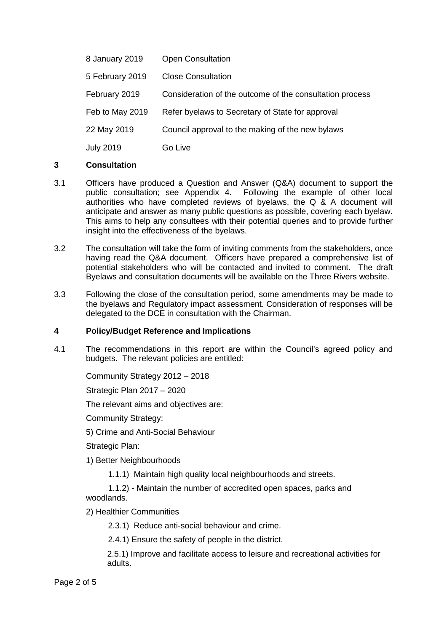| 8 January 2019   | <b>Open Consultation</b>                                 |
|------------------|----------------------------------------------------------|
| 5 February 2019  | <b>Close Consultation</b>                                |
| February 2019    | Consideration of the outcome of the consultation process |
| Feb to May 2019  | Refer byelaws to Secretary of State for approval         |
| 22 May 2019      | Council approval to the making of the new bylaws         |
| <b>July 2019</b> | Go Live                                                  |

## **3 Consultation**

- 3.1 Officers have produced a Question and Answer (Q&A) document to support the public consultation; see Appendix 4. Following the example of other local authorities who have completed reviews of byelaws, the Q & A document will anticipate and answer as many public questions as possible, covering each byelaw. This aims to help any consultees with their potential queries and to provide further insight into the effectiveness of the byelaws.
- 3.2 The consultation will take the form of inviting comments from the stakeholders, once having read the Q&A document. Officers have prepared a comprehensive list of potential stakeholders who will be contacted and invited to comment. The draft Byelaws and consultation documents will be available on the Three Rivers website.
- 3.3 Following the close of the consultation period, some amendments may be made to the byelaws and Regulatory impact assessment. Consideration of responses will be delegated to the DCE in consultation with the Chairman.

# **4 Policy/Budget Reference and Implications**

4.1 The recommendations in this report are within the Council's agreed policy and budgets. The relevant policies are entitled:

Community Strategy 2012 – 2018

Strategic Plan 2017 – 2020

The relevant aims and objectives are:

Community Strategy:

5) Crime and Anti-Social Behaviour

Strategic Plan:

1) Better Neighbourhoods

1.1.1) Maintain high quality local neighbourhoods and streets.

1.1.2) - Maintain the number of accredited open spaces, parks and

woodlands.

2) Healthier Communities

2.3.1) Reduce anti-social behaviour and crime.

2.4.1) Ensure the safety of people in the district.

2.5.1) Improve and facilitate access to leisure and recreational activities for adults.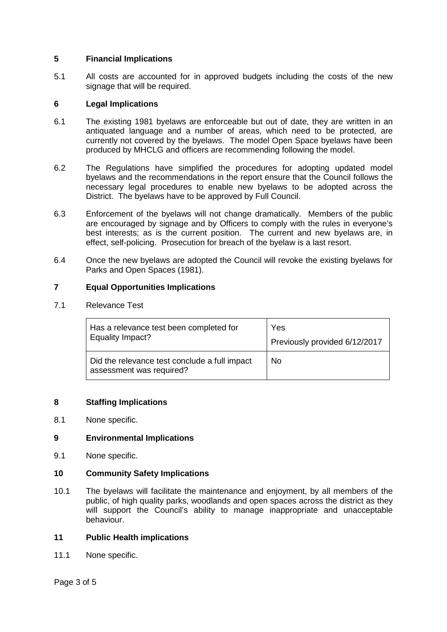# **5 Financial Implications**

5.1 All costs are accounted for in approved budgets including the costs of the new signage that will be required.

# **6 Legal Implications**

- 6.1 The existing 1981 byelaws are enforceable but out of date, they are written in an antiquated language and a number of areas, which need to be protected, are currently not covered by the byelaws. The model Open Space byelaws have been produced by MHCLG and officers are recommending following the model.
- 6.2 The Regulations have simplified the procedures for adopting updated model byelaws and the recommendations in the report ensure that the Council follows the necessary legal procedures to enable new byelaws to be adopted across the District. The byelaws have to be approved by Full Council.
- 6.3 Enforcement of the byelaws will not change dramatically. Members of the public are encouraged by signage and by Officers to comply with the rules in everyone's best interests; as is the current position. The current and new byelaws are, in effect, self-policing. Prosecution for breach of the byelaw is a last resort.
- 6.4 Once the new byelaws are adopted the Council will revoke the existing byelaws for Parks and Open Spaces (1981).

# **7 Equal Opportunities Implications**

## 7.1 Relevance Test

| Has a relevance test been completed for                                   | Yes                           |
|---------------------------------------------------------------------------|-------------------------------|
| Equality Impact?                                                          | Previously provided 6/12/2017 |
| Did the relevance test conclude a full impact<br>assessment was required? | No.                           |

## **8 Staffing Implications**

8.1 None specific.

## **9 Environmental Implications**

9.1 None specific.

## **10 Community Safety Implications**

10.1 The byelaws will facilitate the maintenance and enjoyment, by all members of the public, of high quality parks, woodlands and open spaces across the district as they will support the Council's ability to manage inappropriate and unacceptable behaviour.

## **11 Public Health implications**

11.1 None specific.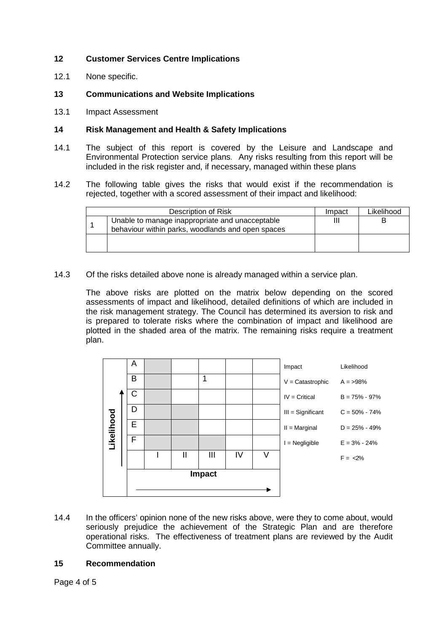# **12 Customer Services Centre Implications**

- 12.1 None specific.
- **13 Communications and Website Implications**
- 13.1 Impact Assessment

#### **14 Risk Management and Health & Safety Implications**

- 14.1 The subject of this report is covered by the Leisure and Landscape and Environmental Protection service plans*.* Any risks resulting from this report will be included in the risk register and, if necessary, managed within these plans
- 14.2 The following table gives the risks that would exist if the recommendation is rejected, together with a scored assessment of their impact and likelihood:

| Description of Risk                                                                                  | Impact | Likelihood |
|------------------------------------------------------------------------------------------------------|--------|------------|
| Unable to manage inappropriate and unacceptable<br>behaviour within parks, woodlands and open spaces | Ш      |            |
|                                                                                                      |        |            |

14.3 Of the risks detailed above none is already managed within a service plan.

The above risks are plotted on the matrix below depending on the scored assessments of impact and likelihood, detailed definitions of which are included in the risk management strategy. The Council has determined its aversion to risk and is prepared to tolerate risks where the combination of impact and likelihood are plotted in the shaded area of the matrix. The remaining risks require a treatment plan.

|      |  |                       | A |              |                |    |   |                                                                                                                                                                                                                                                 |                   |
|------|--|-----------------------|---|--------------|----------------|----|---|-------------------------------------------------------------------------------------------------------------------------------------------------------------------------------------------------------------------------------------------------|-------------------|
|      |  |                       |   |              |                |    |   | Impact                                                                                                                                                                                                                                          | Likelihood        |
|      |  |                       | В |              | 1              |    |   | $V =$ Catastrophic                                                                                                                                                                                                                              | $A = 98%$         |
|      |  |                       | С |              |                |    |   | $IV = Critical$                                                                                                                                                                                                                                 | $B = 75\% - 97\%$ |
|      |  |                       | D |              |                |    |   | III = Significant                                                                                                                                                                                                                               | $C = 50\% - 74\%$ |
|      |  |                       | E |              |                |    |   | $II = Marginal$                                                                                                                                                                                                                                 | $D = 25\% - 49\%$ |
|      |  | Likelihood            | F |              |                |    |   | $I = Negligible$                                                                                                                                                                                                                                | $E = 3\% - 24\%$  |
|      |  |                       |   | $\mathbf{I}$ | $\mathbf{III}$ | IV | V |                                                                                                                                                                                                                                                 | $F = <2\%$        |
|      |  |                       |   |              | <b>Impact</b>  |    |   |                                                                                                                                                                                                                                                 |                   |
|      |  |                       |   |              |                |    |   |                                                                                                                                                                                                                                                 |                   |
|      |  |                       |   |              |                |    |   |                                                                                                                                                                                                                                                 |                   |
| 14.4 |  | Committee annually.   |   |              |                |    |   | In the officers' opinion none of the new risks above, were they to come about, wo<br>seriously prejudice the achievement of the Strategic Plan and are theref<br>operational risks. The effectiveness of treatment plans are reviewed by the Au |                   |
| 15   |  | <b>Recommendation</b> |   |              |                |    |   |                                                                                                                                                                                                                                                 |                   |

Page 4 of 5